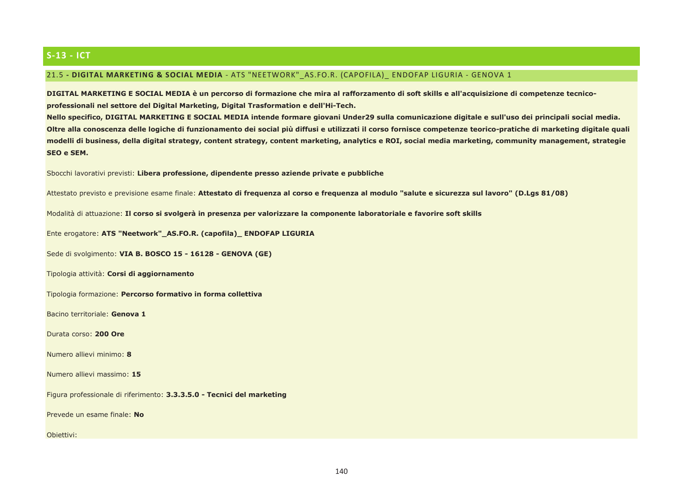# $S-13 - ICT$

### 21.5 - DIGITAL MARKETING & SOCIAL MEDIA - ATS "NEETWORK" AS.FO.R. (CAPOFILA) ENDOFAP LIGURIA - GENOVA 1

DIGITAL MARKETING E SOCIAL MEDIA è un percorso di formazione che mira al rafforzamento di soft skills e all'acquisizione di competenze tecnicoprofessionali nel settore del Digital Marketing, Digital Trasformation e dell'Hi-Tech.

Nello specifico, DIGITAL MARKETING E SOCIAL MEDIA intende formare giovani Under29 sulla comunicazione digitale e sull'uso dei principali social media. Oltre alla conoscenza delle logiche di funzionamento dei social più diffusi e utilizzati il corso fornisce competenze teorico-pratiche di marketing digitale quali modelli di business, della digital strategy, content strategy, content marketing, analytics e ROI, social media marketing, community management, strategie SEO e SEM.

Sbocchi lavorativi previsti: Libera professione, dipendente presso aziende private e pubbliche

Attestato previsto e previsione esame finale: Attestato di frequenza al corso e frequenza al modulo "salute e sicurezza sul lavoro" (D.Lgs 81/08)

Modalità di attuazione: Il corso si svolgerà in presenza per valorizzare la componente laboratoriale e favorire soft skills

Ente erogatore: ATS "Neetwork"\_AS.FO.R. (capofila)\_ ENDOFAP LIGURIA

Sede di svolgimento: VIA B. BOSCO 15 - 16128 - GENOVA (GE)

Tipologia attività: Corsi di aggiornamento

Tipologia formazione: Percorso formativo in forma collettiva

Bacino territoriale: Genova 1

Durata corso: 200 Ore

Numero allievi minimo: 8

Numero allievi massimo: 15

Figura professionale di riferimento: 3.3.3.5.0 - Tecnici del marketing

Prevede un esame finale: No

Obiettivi: